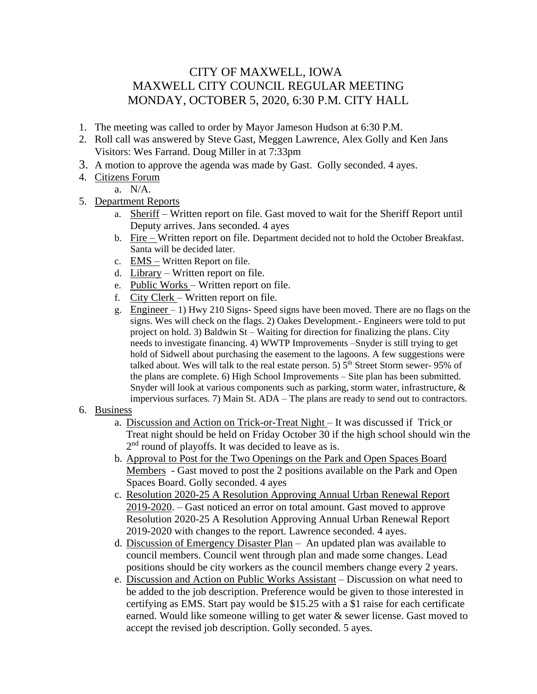## CITY OF MAXWELL, IOWA MAXWELL CITY COUNCIL REGULAR MEETING MONDAY, OCTOBER 5, 2020, 6:30 P.M. CITY HALL

- 1. The meeting was called to order by Mayor Jameson Hudson at 6:30 P.M.
- 2. Roll call was answered by Steve Gast, Meggen Lawrence, Alex Golly and Ken Jans Visitors: Wes Farrand. Doug Miller in at 7:33pm
- 3. A motion to approve the agenda was made by Gast. Golly seconded. 4 ayes.
- 4. Citizens Forum
	- a. N/A.
- 5. Department Reports
	- a. Sheriff Written report on file. Gast moved to wait for the Sheriff Report until Deputy arrives. Jans seconded. 4 ayes
	- b. Fire Written report on file. Department decided not to hold the October Breakfast. Santa will be decided later.
	- c. EMS Written Report on file.
	- d. Library Written report on file.
	- e. Public Works Written report on file.
	- f. City Clerk Written report on file.
	- g. Engineer  $-1$ ) Hwy 210 Signs-Speed signs have been moved. There are no flags on the signs. Wes will check on the flags. 2) Oakes Development.- Engineers were told to put project on hold. 3) Baldwin St – Waiting for direction for finalizing the plans. City needs to investigate financing. 4) WWTP Improvements –Snyder is still trying to get hold of Sidwell about purchasing the easement to the lagoons. A few suggestions were talked about. Wes will talk to the real estate person. 5)  $5<sup>th</sup>$  Street Storm sewer-95% of the plans are complete. 6) High School Improvements – Site plan has been submitted. Snyder will look at various components such as parking, storm water, infrastructure, & impervious surfaces. 7) Main St. ADA – The plans are ready to send out to contractors.

## 6. Business

- a. Discussion and Action on Trick-or-Treat Night It was discussed if Trick or Treat night should be held on Friday October 30 if the high school should win the 2<sup>nd</sup> round of playoffs. It was decided to leave as is.
- b. Approval to Post for the Two Openings on the Park and Open Spaces Board Members - Gast moved to post the 2 positions available on the Park and Open Spaces Board. Golly seconded. 4 ayes
- c. Resolution 2020-25 A Resolution Approving Annual Urban Renewal Report 2019-2020. – Gast noticed an error on total amount. Gast moved to approve Resolution 2020-25 A Resolution Approving Annual Urban Renewal Report 2019-2020 with changes to the report. Lawrence seconded. 4 ayes.
- d. Discussion of Emergency Disaster Plan An updated plan was available to council members. Council went through plan and made some changes. Lead positions should be city workers as the council members change every 2 years.
- e. Discussion and Action on Public Works Assistant Discussion on what need to be added to the job description. Preference would be given to those interested in certifying as EMS. Start pay would be \$15.25 with a \$1 raise for each certificate earned. Would like someone willing to get water & sewer license. Gast moved to accept the revised job description. Golly seconded. 5 ayes.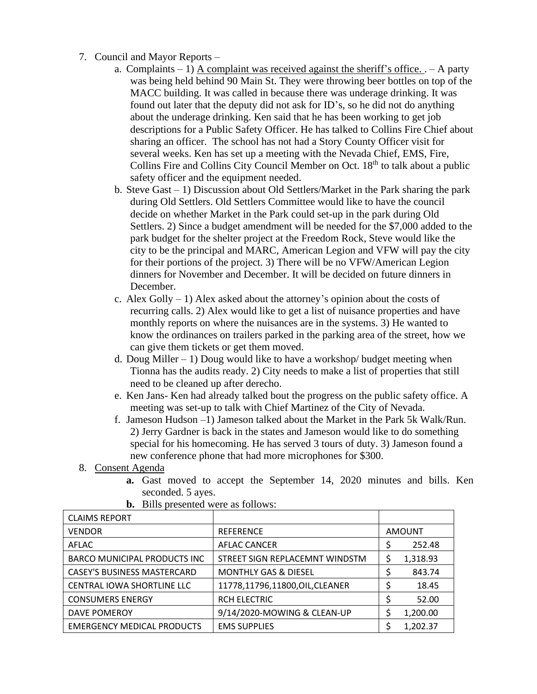- 7. Council and Mayor Reports
	- a. Complaints  $-1$ ) A complaint was received against the sheriff's office.  $-$  A party was being held behind 90 Main St. They were throwing beer bottles on top of the MACC building. It was called in because there was underage drinking. It was found out later that the deputy did not ask for ID's, so he did not do anything about the underage drinking. Ken said that he has been working to get job descriptions for a Public Safety Officer. He has talked to Collins Fire Chief about sharing an officer. The school has not had a Story County Officer visit for several weeks. Ken has set up a meeting with the Nevada Chief, EMS, Fire, Collins Fire and Collins City Council Member on Oct. 18<sup>th</sup> to talk about a public safety officer and the equipment needed.
	- b. Steve Gast 1) Discussion about Old Settlers/Market in the Park sharing the park during Old Settlers. Old Settlers Committee would like to have the council decide on whether Market in the Park could set-up in the park during Old Settlers. 2) Since a budget amendment will be needed for the \$7,000 added to the park budget for the shelter project at the Freedom Rock, Steve would like the city to be the principal and MARC, American Legion and VFW will pay the city for their portions of the project. 3) There will be no VFW/American Legion dinners for November and December. It will be decided on future dinners in December.
	- c. Alex Golly  $-1$ ) Alex asked about the attorney's opinion about the costs of recurring calls. 2) Alex would like to get a list of nuisance properties and have monthly reports on where the nuisances are in the systems. 3) He wanted to know the ordinances on trailers parked in the parking area of the street, how we can give them tickets or get them moved.
	- d. Doug Miller  $-1$ ) Doug would like to have a workshop/budget meeting when Tionna has the audits ready. 2) City needs to make a list of properties that still need to be cleaned up after derecho.
	- e. Ken Jans- Ken had already talked bout the progress on the public safety office. A meeting was set-up to talk with Chief Martinez of the City of Nevada.
	- f. Jameson Hudson –1) Jameson talked about the Market in the Park 5k Walk/Run. 2) Jerry Gardner is back in the states and Jameson would like to do something special for his homecoming. He has served 3 tours of duty. 3) Jameson found a new conference phone that had more microphones for \$300.

## 8. Consent Agenda

**a.** Gast moved to accept the September 14, 2020 minutes and bills. Ken seconded. 5 ayes.

| <b>CLAIMS REPORT</b>                |                                 |               |          |
|-------------------------------------|---------------------------------|---------------|----------|
| <b>VENDOR</b>                       | <b>REFERENCE</b>                | <b>AMOUNT</b> |          |
| AFLAC                               | AFLAC CANCER                    | S             | 252.48   |
| <b>BARCO MUNICIPAL PRODUCTS INC</b> | STREET SIGN REPLACEMNT WINDSTM  | Ş             | 1,318.93 |
| <b>CASEY'S BUSINESS MASTERCARD</b>  | <b>MONTHLY GAS &amp; DIESEL</b> |               | 843.74   |
| CENTRAL IOWA SHORTLINE LLC          | 11778,11796,11800,OIL,CLEANER   |               | 18.45    |
| <b>CONSUMERS ENERGY</b>             | RCH ELECTRIC                    |               | 52.00    |
| DAVE POMEROY                        | 9/14/2020-MOWING & CLEAN-UP     |               | 1,200.00 |
| <b>EMERGENCY MEDICAL PRODUCTS</b>   | <b>EMS SUPPLIES</b>             |               | 1,202.37 |

**b.** Bills presented were as follows: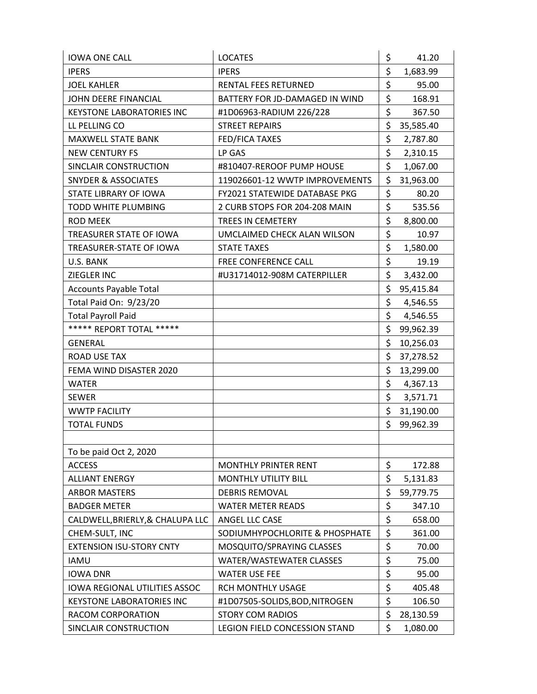| <b>IOWA ONE CALL</b>             | <b>LOCATES</b>                       | \$<br>41.20     |
|----------------------------------|--------------------------------------|-----------------|
| <b>IPERS</b>                     | <b>IPERS</b>                         | \$<br>1,683.99  |
| <b>JOEL KAHLER</b>               | RENTAL FEES RETURNED                 | \$<br>95.00     |
| JOHN DEERE FINANCIAL             | BATTERY FOR JD-DAMAGED IN WIND       | \$<br>168.91    |
| <b>KEYSTONE LABORATORIES INC</b> | #1D06963-RADIUM 226/228              | \$<br>367.50    |
| LL PELLING CO                    | <b>STREET REPAIRS</b>                | \$<br>35,585.40 |
| <b>MAXWELL STATE BANK</b>        | FED/FICA TAXES                       | \$<br>2,787.80  |
| <b>NEW CENTURY FS</b>            | LP GAS                               | \$<br>2,310.15  |
| SINCLAIR CONSTRUCTION            | #810407-REROOF PUMP HOUSE            | \$<br>1,067.00  |
| <b>SNYDER &amp; ASSOCIATES</b>   | 119026601-12 WWTP IMPROVEMENTS       | \$<br>31,963.00 |
| STATE LIBRARY OF IOWA            | <b>FY2021 STATEWIDE DATABASE PKG</b> | \$<br>80.20     |
| TODD WHITE PLUMBING              | 2 CURB STOPS FOR 204-208 MAIN        | \$<br>535.56    |
| <b>ROD MEEK</b>                  | TREES IN CEMETERY                    | \$<br>8,800.00  |
| TREASURER STATE OF IOWA          | UMCLAIMED CHECK ALAN WILSON          | \$<br>10.97     |
| TREASURER-STATE OF IOWA          | <b>STATE TAXES</b>                   | \$<br>1,580.00  |
| U.S. BANK                        | FREE CONFERENCE CALL                 | \$<br>19.19     |
| ZIEGLER INC                      | #U31714012-908M CATERPILLER          | \$<br>3,432.00  |
| <b>Accounts Payable Total</b>    |                                      | \$<br>95,415.84 |
| Total Paid On: 9/23/20           |                                      | \$<br>4,546.55  |
| <b>Total Payroll Paid</b>        |                                      | \$<br>4,546.55  |
| ***** REPORT TOTAL *****         |                                      | \$<br>99,962.39 |
| <b>GENERAL</b>                   |                                      | \$<br>10,256.03 |
| ROAD USE TAX                     |                                      | \$<br>37,278.52 |
| FEMA WIND DISASTER 2020          |                                      | \$<br>13,299.00 |
| <b>WATER</b>                     |                                      | \$<br>4,367.13  |
| <b>SEWER</b>                     |                                      | \$<br>3,571.71  |
| <b>WWTP FACILITY</b>             |                                      | \$<br>31,190.00 |
| <b>TOTAL FUNDS</b>               |                                      | \$<br>99,962.39 |
|                                  |                                      |                 |
| To be paid Oct 2, 2020           |                                      |                 |
| <b>ACCESS</b>                    | <b>MONTHLY PRINTER RENT</b>          | \$<br>172.88    |
| <b>ALLIANT ENERGY</b>            | <b>MONTHLY UTILITY BILL</b>          | \$<br>5,131.83  |
| <b>ARBOR MASTERS</b>             | <b>DEBRIS REMOVAL</b>                | \$<br>59,779.75 |
| <b>BADGER METER</b>              | <b>WATER METER READS</b>             | \$<br>347.10    |
| CALDWELL, BRIERLY, & CHALUPA LLC | ANGEL LLC CASE                       | \$<br>658.00    |
| CHEM-SULT, INC                   | SODIUMHYPOCHLORITE & PHOSPHATE       | \$<br>361.00    |
| <b>EXTENSION ISU-STORY CNTY</b>  | MOSQUITO/SPRAYING CLASSES            | \$<br>70.00     |
| <b>IAMU</b>                      | WATER/WASTEWATER CLASSES             | \$<br>75.00     |
| <b>IOWA DNR</b>                  | <b>WATER USE FEE</b>                 | \$<br>95.00     |
| IOWA REGIONAL UTILITIES ASSOC    | RCH MONTHLY USAGE                    | \$<br>405.48    |
| <b>KEYSTONE LABORATORIES INC</b> | #1D07505-SOLIDS, BOD, NITROGEN       | \$<br>106.50    |
| RACOM CORPORATION                | <b>STORY COM RADIOS</b>              | \$<br>28,130.59 |
| SINCLAIR CONSTRUCTION            | LEGION FIELD CONCESSION STAND        | \$<br>1,080.00  |